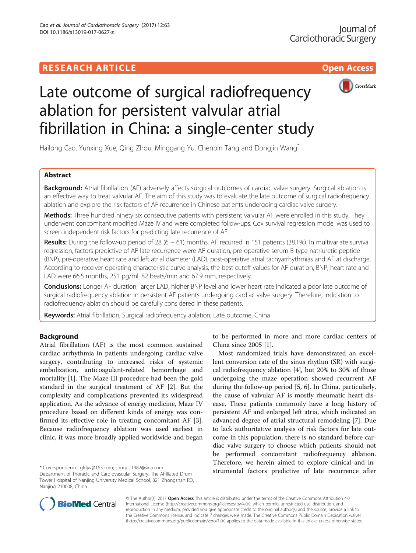# **RESEARCH ARTICLE Example 2018 12:00 Department of the Contract Open Access**



# Late outcome of surgical radiofrequency ablation for persistent valvular atrial fibrillation in China: a single-center study

Hailong Cao, Yunxing Xue, Qing Zhou, Minggang Yu, Chenbin Tang and Dongjin Wang\*

## Abstract

**Background:** Atrial fibrillation (AF) adversely affects surgical outcomes of cardiac valve surgery. Surgical ablation is an effective way to treat valvular AF. The aim of this study was to evaluate the late outcome of surgical radiofrequency ablation and explore the risk factors of AF recurrence in Chinese patients undergoing cardiac valve surgery.

Methods: Three hundred ninety six consecutive patients with persistent valvular AF were enrolled in this study. They underwent concomitant modified Maze IV and were completed follow-ups. Cox survival regression model was used to screen independent risk factors for predicting late recurrence of AF.

Results: During the follow-up period of 28 ( $6 \sim 61$ ) months, AF recurred in 151 patients (38.1%). In multivariate survival regression, factors predictive of AF late recurrence were AF duration, pre-operative serum B-type natriuretic peptide (BNP), pre-operative heart rate and left atrial diameter (LAD), post-operative atrial tachyarrhythmias and AF at discharge. According to receiver operating characteristic curve analysis, the best cutoff values for AF duration, BNP, heart rate and LAD were 66.5 months, 251 pg/ml, 82 beats/min and 67.9 mm, respectively.

Conclusions: Longer AF duration, larger LAD, higher BNP level and lower heart rate indicated a poor late outcome of surgical radiofrequency ablation in persistent AF patients undergoing cardiac valve surgery. Therefore, indication to radiofrequency ablation should be carefully considered in these patients.

Keywords: Atrial fibrillation, Surgical radiofrequency ablation, Late outcome, China

## Background

Atrial fibrillation (AF) is the most common sustained cardiac arrhythmia in patients undergoing cardiac valve surgery, contributing to increased risks of systemic embolization, anticoagulant-related hemorrhage and mortality [\[1](#page-5-0)]. The Maze III procedure had been the gold standard in the surgical treatment of AF [[2\]](#page-5-0). But the complexity and complications prevented its widespread application. As the advance of energy medicine, Maze IV procedure based on different kinds of energy was confirmed its effective role in treating concomitant AF [\[3](#page-5-0)]. Because radiofrequency ablation was used earliest in clinic, it was more broadly applied worldwide and began

to be performed in more and more cardiac centers of China since 2005 [\[1](#page-5-0)].

Most randomized trials have demonstrated an excellent conversion rate of the sinus rhythm (SR) with surgical radiofrequency ablation [\[4](#page-5-0)], but 20% to 30% of those undergoing the maze operation showed recurrent AF during the follow-up period [\[5](#page-5-0), [6](#page-5-0)]. In China, particularly, the cause of valvular AF is mostly rheumatic heart disease. These patients commonly have a long history of persistent AF and enlarged left atria, which indicated an advanced degree of atrial structural remodeling [[7\]](#page-5-0). Due to lack authoritative analysis of risk factors for late outcome in this population, there is no standard before cardiac valve surgery to choose which patients should not be performed concomitant radiofrequency ablation. Therefore, we herein aimed to explore clinical and instrumental factors predictive of late recurrence after \* Correspondence: [gldjw@163.com;](mailto:gldjw@163.com) [shuqu\\_1982@sina.com](mailto:shuqu_1982@sina.com)



© The Author(s). 2017 **Open Access** This article is distributed under the terms of the Creative Commons Attribution 4.0 International License [\(http://creativecommons.org/licenses/by/4.0/](http://creativecommons.org/licenses/by/4.0/)), which permits unrestricted use, distribution, and reproduction in any medium, provided you give appropriate credit to the original author(s) and the source, provide a link to the Creative Commons license, and indicate if changes were made. The Creative Commons Public Domain Dedication waiver [\(http://creativecommons.org/publicdomain/zero/1.0/](http://creativecommons.org/publicdomain/zero/1.0/)) applies to the data made available in this article, unless otherwise stated.

Department of Thoracic and Cardiovascular Surgery, The Affiliated Drum Tower Hospital of Nanjing University Medical School, 321 Zhongshan RD, Nanjing 210008, China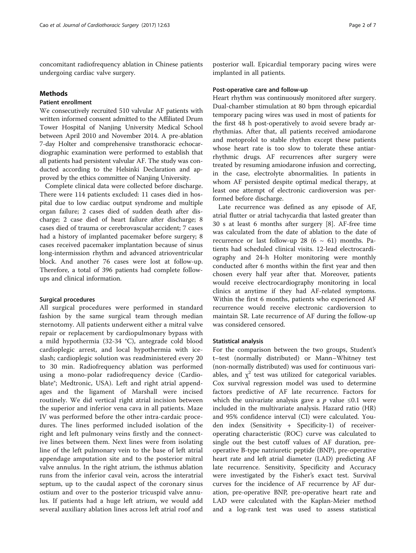concomitant radiofrequency ablation in Chinese patients undergoing cardiac valve surgery.

## Methods

# Patient enrollment

We consecutively recruited 510 valvular AF patients with written informed consent admitted to the Affiliated Drum Tower Hospital of Nanjing University Medical School between April 2010 and November 2014. A pre-ablation 7-day Holter and comprehensive transthoracic echocardiographic examination were performed to establish that all patients had persistent valvular AF. The study was conducted according to the Helsinki Declaration and approved by the ethics committee of Nanjing University.

Complete clinical data were collected before discharge. There were 114 patients excluded: 11 cases died in hospital due to low cardiac output syndrome and multiple organ failure; 2 cases died of sudden death after discharge; 2 case died of heart failure after discharge; 8 cases died of trauma or cerebrovascular accident; 7 cases had a history of implanted pacemaker before surgery; 8 cases received pacemaker implantation because of sinus long-intermission rhythm and advanced atrioventricular block. And another 76 cases were lost at follow-up. Therefore, a total of 396 patients had complete followups and clinical information.

## Surgical procedures

All surgical procedures were performed in standard fashion by the same surgical team through median sternotomy. All patients underwent either a mitral valve repair or replacement by cardiopulmonary bypass with a mild hypothermia (32-34 °C), antegrade cold blood cardioplegic arrest, and local hypothermia with iceslash; cardioplegic solution was readministered every 20 to 30 min. Radiofrequency ablation was performed using a mono-polar radiofrequency device (Cardioblate®; Medtronic, USA). Left and right atrial appendages and the ligament of Marshall were incised routinely. We did vertical right atrial incision between the superior and inferior vena cava in all patients. Maze IV was performed before the other intra-cardaic procedures. The lines performed included isolation of the right and left pulmonary veins firstly and the connective lines between them. Next lines were from isolating line of the left pulmonary vein to the base of left atrial appendage amputation site and to the posterior mitral valve annulus. In the right atrium, the isthmus ablation runs from the inferior caval vein, across the interatrial septum, up to the caudal aspect of the coronary sinus ostium and over to the posterior tricuspid valve annulus. If patients had a huge left atrium, we would add several auxiliary ablation lines across left atrial roof and

posterior wall. Epicardial temporary pacing wires were implanted in all patients.

### Post-operative care and follow-up

Heart rhythm was continuously monitored after surgery. Dual-chamber stimulation at 80 bpm through epicardial temporary pacing wires was used in most of patients for the first 48 h post-operatively to avoid severe brady arrhythmias. After that, all patients received amiodarone and metoprolol to stable rhythm except these patients whose heart rate is too slow to tolerate these antiarrhythmic drugs. AF recurrences after surgery were treated by resuming amiodarone infusion and correcting, in the case, electrolyte abnormalities. In patients in whom AF persisted despite optimal medical therapy, at least one attempt of electronic cardioversion was performed before discharge.

Late recurrence was defined as any episode of AF, atrial flutter or atrial tachycardia that lasted greater than 30 s at least 6 months after surgery [[8\]](#page-6-0). AF-free time was calculated from the date of ablation to the date of recurrence or last follow-up 28 (6  $\sim$  61) months. Patients had scheduled clinical visits. 12-lead electrocardiography and 24-h Holter monitoring were monthly conducted after 6 months within the first year and then chosen every half year after that. Moreover, patients would receive electrocardiography monitoring in local clinics at anytime if they had AF-related symptoms. Within the first 6 months, patients who experienced AF recurrence would receive electronic cardioversion to maintain SR. Late recurrence of AF during the follow-up was considered censored.

## Statistical analysis

For the comparison between the two groups, Student's t–test (normally distributed) or Mann–Whitney test (non-normally distributed) was used for continuous variables, and  $\chi^2$  test was utilized for categorical variables. Cox survival regression model was used to determine factors predictive of AF late recurrence. Factors for which the univariate analysis gave a p value  $\leq 0.1$  were included in the multivariate analysis. Hazard ratio (HR) and 95% confidence interval (CI) were calculated. Youden index (Sensitivity + Specificity-1) of receiveroperating characteristic (ROC) curve was calculated to single out the best cutoff values of AF duration, preoperative B-type natriuretic peptide (BNP), pre-operative heart rate and left atrial diameter (LAD) predicting AF late recurrence. Sensitivity, Specificity and Accuracy were investigated by the Fisher's exact test. Survival curves for the incidence of AF recurrence by AF duration, pre-operative BNP, pre-operative heart rate and LAD were calculated with the Kaplan-Meier method and a log-rank test was used to assess statistical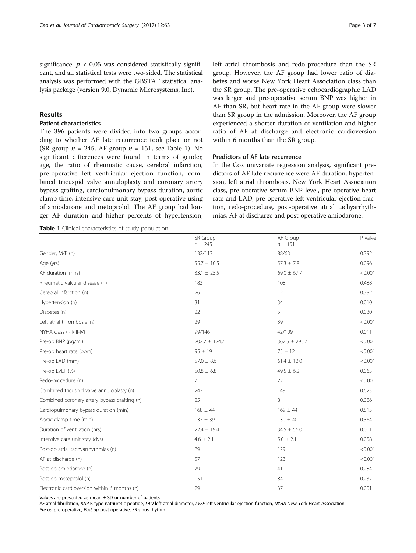significance.  $p < 0.05$  was considered statistically significant, and all statistical tests were two-sided. The statistical analysis was performed with the GBSTAT statistical analysis package (version 9.0, Dynamic Microsystems, Inc).

## Results

## Patient characteristics

The 396 patients were divided into two groups according to whether AF late recurrence took place or not (SR group  $n = 245$ , AF group  $n = 151$ , see Table 1). No significant differences were found in terms of gender, age, the ratio of rheumatic cause, cerebral infarction, pre-operative left ventricular ejection function, combined tricuspid valve annuloplasty and coronary artery bypass grafting, cardiopulmonary bypass duration, aortic clamp time, intensive care unit stay, post-operative using of amiodarone and metoprolol. The AF group had longer AF duration and higher percents of hypertension, left atrial thrombosis and redo-procedure than the SR group. However, the AF group had lower ratio of diabetes and worse New York Heart Association class than the SR group. The pre-operative echocardiographic LAD was larger and pre-operative serum BNP was higher in AF than SR, but heart rate in the AF group were slower than SR group in the admission. Moreover, the AF group experienced a shorter duration of ventilation and higher ratio of AF at discharge and electronic cardioversion within 6 months than the SR group.

## Predictors of AF late recurrence

In the Cox univariate regression analysis, significant predictors of AF late recurrence were AF duration, hypertension, left atrial thrombosis, New York Heart Association class, pre-operative serum BNP level, pre-operative heart rate and LAD, pre-operative left ventricular ejection fraction, redo-procedure, post-operative atrial tachyarrhythmias, AF at discharge and post-operative amiodarone.

Table 1 Clinical characteristics of study population

|                                              | SR Group<br>$n = 245$ | AF Group<br>$n = 151$ | P valve |
|----------------------------------------------|-----------------------|-----------------------|---------|
| Gender, M/F (n)                              | 132/113               | 88/63                 | 0.392   |
| Age (yrs)                                    | $55.7 \pm 10.5$       | $57.3 \pm 7.8$        | 0.096   |
| AF duration (mhs)                            | $33.1 \pm 25.5$       | $69.0 \pm 67.7$       | < 0.001 |
| Rheumatic valvular disease (n)               | 183                   | 108                   | 0.488   |
| Cerebral infarction (n)                      | 26                    | 12                    | 0.382   |
| Hypertension (n)                             | 31                    | 34                    | 0.010   |
| Diabetes (n)                                 | 22                    | 5                     | 0.030   |
| Left atrial thrombosis (n)                   | 29                    | 39                    | < 0.001 |
| NYHA class (I-II/III-IV)                     | 99/146                | 42/109                | 0.011   |
| Pre-op BNP (pg/ml)                           | $202.7 \pm 124.7$     | $367.5 \pm 295.7$     | < 0.001 |
| Pre-op heart rate (bpm)                      | $95 \pm 19$           | $75 \pm 12$           | < 0.001 |
| Pre-op LAD (mm)                              | $57.0 \pm 8.6$        | $61.4 \pm 12.0$       | < 0.001 |
| Pre-op LVEF (%)                              | $50.8 \pm 6.8$        | $49.5 \pm 6.2$        | 0.063   |
| Redo-procedure (n)                           | $\overline{7}$        | 22                    | < 0.001 |
| Combined tricuspid valve annuloplasty (n)    | 243                   | 149                   | 0.623   |
| Combined coronary artery bypass grafting (n) | 25                    | 8                     | 0.086   |
| Cardiopulmonary bypass duration (min)        | $168 \pm 44$          | $169 \pm 44$          | 0.815   |
| Aortic clamp time (min)                      | $133 \pm 39$          | $130 \pm 40$          | 0.364   |
| Duration of ventilation (hrs)                | $22.4 \pm 19.4$       | $34.5 \pm 56.0$       | 0.011   |
| Intensive care unit stay (dys)               | $4.6 \pm 2.1$         | $5.0 \pm 2.1$         | 0.058   |
| Post-op atrial tachyarrhythmias (n)          | 89                    | 129                   | < 0.001 |
| AF at discharge (n)                          | 57                    | 123                   | < 0.001 |
| Post-op amiodarone (n)                       | 79                    | 41                    | 0.284   |
| Post-op metoprolol (n)                       | 151                   | 84                    | 0.237   |
| Electronic cardioversion within 6 months (n) | 29                    | 37                    | 0.001   |

Values are presented as mean  $\pm$  SD or number of patients

AF atrial fibrillation, BNP B-type natriuretic peptide, LAD left atrial diameter, LVEF left ventricular ejection function, NYHA New York Heart Association, Pre-op pre-operative, Post-op post-operative, SR sinus rhythm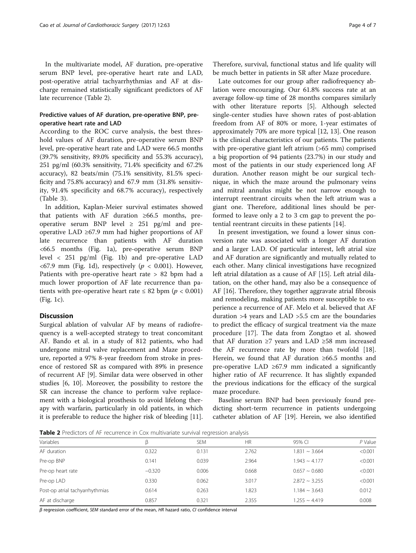In the multivariate model, AF duration, pre-operative serum BNP level, pre-operative heart rate and LAD, post-operative atrial tachyarrhythmias and AF at discharge remained statistically significant predictors of AF late recurrence (Table 2).

## Predictive values of AF duration, pre-operative BNP, preoperative heart rate and LAD

According to the ROC curve analysis, the best threshold values of AF duration, pre-operative serum BNP level, pre-operative heart rate and LAD were 66.5 months (39.7% sensitivity, 89.0% specificity and 55.3% accuracy), 251 pg/ml (60.3% sensitivity, 71.4% specificity and 67.2% accuracy), 82 beats/min (75.1% sensitivity, 81.5% specificity and 75.8% accuracy) and 67.9 mm (31.8% sensitivity, 91.4% specificity and 68.7% accuracy), respectively (Table [3\)](#page-4-0).

In addition, Kaplan-Meier survival estimates showed that patients with AF duration  $\geq 66.5$  months, preoperative serum BNP level  $\geq 251$  pg/ml and preoperative LAD ≥67.9 mm had higher proportions of AF late recurrence than patients with AF duration <66.5 months (Fig. [1a\)](#page-4-0), pre-operative serum BNP level < 251 pg/ml (Fig. [1b\)](#page-4-0) and pre-operative LAD <67.9 mm (Fig. [1d\)](#page-4-0), respectively ( $p < 0.001$ ). However, Patients with pre-operative heart rate > 82 bpm had a much lower proportion of AF late recurrence than patients with pre-operative heart rate  $\leq 82$  bpm ( $p < 0.001$ ) (Fig. [1c\)](#page-4-0).

## Discussion

Surgical ablation of valvular AF by means of radiofrequency is a well-accepted strategy to treat concomitant AF. Bando et al. in a study of 812 patients, who had undergone mitral valve replacement and Maze procedure, reported a 97% 8-year freedom from stroke in presence of restored SR as compared with 89% in presence of recurrent AF [\[9](#page-6-0)]. Similar data were observed in other studies [[6](#page-5-0), [10\]](#page-6-0). Moreover, the possibility to restore the SR can increase the chance to perform valve replacement with a biological prosthesis to avoid lifelong therapy with warfarin, particularly in old patients, in which it is preferable to reduce the higher risk of bleeding [\[11](#page-6-0)].

Therefore, survival, functional status and life quality will be much better in patients in SR after Maze procedure.

Late outcomes for our group after radiofrequency ablation were encouraging. Our 61.8% success rate at an average follow-up time of 28 months compares similarly with other literature reports [[5\]](#page-5-0). Although selected single-center studies have shown rates of post-ablation freedom from AF of 80% or more, 1-year estimates of approximately 70% are more typical [\[12, 13\]](#page-6-0). One reason is the clinical characteristics of our patients. The patients with pre-operative giant left atrium (>65 mm) comprised a big proportion of 94 patients (23.7%) in our study and most of the patients in our study experienced long AF duration. Another reason might be our surgical technique, in which the maze around the pulmonary veins and mitral annulus might be not narrow enough to interrupt reentrant circuits when the left atrium was a giant one. Therefore, additional lines should be performed to leave only a 2 to 3 cm gap to prevent the potential reentrant circuits in these patients [\[14\]](#page-6-0).

In present investigation, we found a lower sinus conversion rate was associated with a longer AF duration and a larger LAD. Of particular interest, left atrial size and AF duration are significantly and mutually related to each other. Many clinical investigations have recognized left atrial dilatation as a cause of AF [\[15](#page-6-0)]. Left atrial dilatation, on the other hand, may also be a consequence of AF [\[16\]](#page-6-0). Therefore, they together aggravate atrial fibrosis and remodeling, making patients more susceptible to experience a recurrence of AF. Melo et al. believed that AF duration >4 years and LAD >5.5 cm are the boundaries to predict the efficacy of surgical treatment via the maze procedure [\[17](#page-6-0)]. The data from Zongtao et al. showed that AF duration ≥7 years and LAD ≥58 mm increased the AF recurrence rate by more than twofold [\[18](#page-6-0)]. Herein, we found that AF duration ≥66.5 months and pre-operative LAD  $\geq 67.9$  mm indicated a significantly higher ratio of AF recurrence. It has slightly expanded the previous indications for the efficacy of the surgical maze procedure.

Baseline serum BNP had been previously found predicting short-term recurrence in patients undergoing catheter ablation of AF [[19\]](#page-6-0). Herein, we also identified

**Table 2** Predictors of AF recurrence in Cox multivariate survival regression analysis

| Variables                       |          | <b>SEM</b> | <b>HR</b> | 95% CI                | $P$ Value |
|---------------------------------|----------|------------|-----------|-----------------------|-----------|
| AF duration                     | 0.322    | 0.131      | 2.762     | $1.831 \sim 3.664$    | < 0.001   |
| Pre-op BNP                      | 0.141    | 0.039      | 2.964     | $1.943 \sim 4.177$    | < 0.001   |
| Pre-op heart rate               | $-0.320$ | 0.006      | 0.668     | $0.657 \sim 0.680$    | < 0.001   |
| Pre-op LAD                      | 0.330    | 0.062      | 3.017     | $2.872 \approx 3.255$ | < 0.001   |
| Post-op atrial tachyarrhythmias | 0.614    | 0.263      | 1.823     | $1.184 \sim 3.643$    | 0.012     |
| AF at discharge                 | 0.857    | 0.321      | 2.355     | $1.255 \sim 4.419$    | 0.008     |

 $β$  regression coefficient, SEM standard error of the mean, HR hazard ratio, CI confidence interval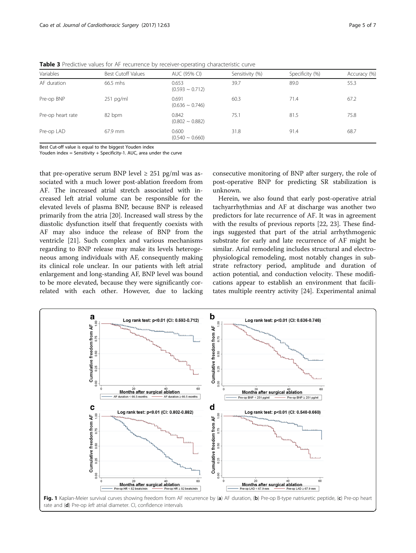| Variables         | <b>Best Cutoff Values</b> | AUC (95% CI)                  | Sensitivity (%) | Specificity (%) | Accuracy (%) |
|-------------------|---------------------------|-------------------------------|-----------------|-----------------|--------------|
| AF duration       | 66.5 mhs                  | 0.653<br>$(0.593 \sim 0.712)$ | 39.7            | 89.0            | 55.3         |
| Pre-op BNP        | $251$ pg/ml               | 0.691<br>$(0.636 \sim 0.746)$ | 60.3            | 71.4            | 67.2         |
| Pre-op heart rate | 82 bpm                    | 0.842<br>$(0.802 \sim 0.882)$ | 75.1            | 81.5            | 75.8         |
| Pre-op LAD        | 67.9 mm                   | 0.600<br>$(0.540 \sim 0.660)$ | 31.8            | 91.4            | 68.7         |

<span id="page-4-0"></span>Table 3 Predictive values for AF recurrence by receiver-operating characteristic curve

Best Cut-off value is equal to the biggest Youden index

Youden index = Sensitivity + Specificity-1. AUC, area under the curve

that pre-operative serum BNP level  $\geq$  251 pg/ml was associated with a much lower post-ablation freedom from AF. The increased atrial stretch associated with increased left atrial volume can be responsible for the elevated levels of plasma BNP, because BNP is released primarily from the atria [[20\]](#page-6-0). Increased wall stress by the diastolic dysfunction itself that frequently coexists with AF may also induce the release of BNP from the ventricle [\[21\]](#page-6-0). Such complex and various mechanisms regarding to BNP release may make its levels heterogeneous among individuals with AF, consequently making its clinical role unclear. In our patients with left atrial enlargement and long-standing AF, BNP level was bound to be more elevated, because they were significantly correlated with each other. However, due to lacking consecutive monitoring of BNP after surgery, the role of post-operative BNP for predicting SR stabilization is unknown.

Herein, we also found that early post-operative atrial tachyarrhythmias and AF at discharge was another two predictors for late recurrence of AF. It was in agreement with the results of previous reports [\[22](#page-6-0), [23\]](#page-6-0). These findings suggested that part of the atrial arrhythmogenic substrate for early and late recurrence of AF might be similar. Arial remodeling includes structural and electrophysiological remodeling, most notably changes in substrate refractory period, amplitude and duration of action potential, and conduction velocity. These modifications appear to establish an environment that facilitates multiple reentry activity [\[24\]](#page-6-0). Experimental animal

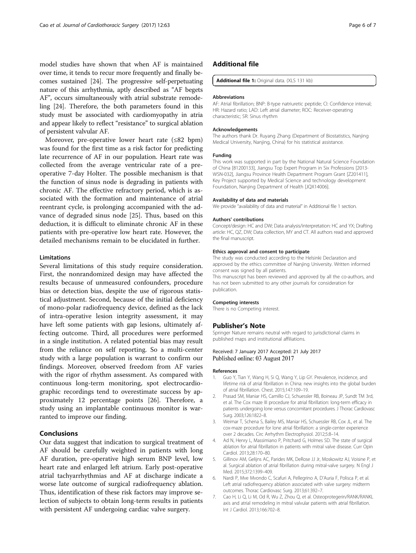<span id="page-5-0"></span>model studies have shown that when AF is maintained over time, it tends to recur more frequently and finally becomes sustained [[24](#page-6-0)]. The progressive self-perpetuating nature of this arrhythmia, aptly described as "AF begets AF", occurs simultaneously with atrial substrate remodeling [\[24](#page-6-0)]. Therefore, the both parameters found in this study must be associated with cardiomyopathy in atria and appear likely to reflect "resistance" to surgical ablation of persistent valvular AF.

Moreover, pre-operative lower heart rate  $(\leq 82$  bpm) was found for the first time as a risk factor for predicting late recurrence of AF in our population. Heart rate was collected from the average ventricular rate of a preoperative 7-day Holter. The possible mechanism is that the function of sinus node is degrading in patients with chronic AF. The effective refractory period, which is associated with the formation and maintenance of atrial reentrant cycle, is prolonging accompanied with the advance of degraded sinus node [\[25](#page-6-0)]. Thus, based on this deduction, it is difficult to eliminate chronic AF in these patients with pre-operative low heart rate. However, the detailed mechanisms remain to be elucidated in further.

## Limitations

Several limitations of this study require consideration. First, the nonrandomized design may have affected the results because of unmeasured confounders, procedure bias or detection bias, despite the use of rigorous statistical adjustment. Second, because of the initial deficiency of mono-polar radiofrequency device, defined as the lack of intra-operative lesion integrity assessment, it may have left some patients with gap lesions, ultimately affecting outcome. Third, all procedures were performed in a single institution. A related potential bias may result from the reliance on self reporting. So a multi-center study with a large population is warrant to confirm our findings. Moreover, observed freedom from AF varies with the rigor of rhythm assessment. As compared with continuous long-term monitoring, spot electrocardiographic recordings tend to overestimate success by approximately 12 percentage points [[26\]](#page-6-0). Therefore, a study using an implantable continuous monitor is warranted to improve our finding.

## Conclusions

Our data suggest that indication to surgical treatment of AF should be carefully weighted in patients with long AF duration, pre-operative high serum BNP level, low heart rate and enlarged left atrium. Early post-operative atrial tachyarrhythmias and AF at discharge indicate a worse late outcome of surgical radiofrequency ablation. Thus, identification of these risk factors may improve selection of subjects to obtain long-term results in patients with persistent AF undergoing cardiac valve surgery.

## Additional file

[Additional file 1:](dx.doi.org/10.1186/s13019-017-0627-z) Original data. (XLS 131 kb)

#### Abbreviations

AF: Atrial fibrillation; BNP: B-type natriuretic peptide; CI: Confidence interval; HR: Hazard ratio; LAD: Left atrial diameter; ROC: Receiver-operating characteristic; SR: Sinus rhythm

#### Acknowledgements

The authors thank Dr. Ruyang Zhang (Department of Biostatistics, Nanjing Medical University, Nanjing, China) for his statistical assistance.

#### Funding

This work was supported in part by the National Natural Science Foundation of China [81200133], Jiangsu Top Expert Program in Six Professions [2013- WSN-032], Jiangsu Province Health Department Program Grant [Z201411], Key Project supported by Medical Science and technology development Foundation, Nanjing Department of Health [JQX14006].

#### Availability of data and materials

We provide "availability of data and material" in Additional file 1 section.

#### Authors' contributions

Concept/design: HC and DW; Data analysis/interpretation: HC and YX; Drafting article: HC, QZ, DW; Data collection, MY and CT. All authors read and approved the final manuscript.

#### Ethics approval and consent to participate

The study was conducted according to the Helsinki Declaration and approved by the ethics committee of Nanjing University. Written informed consent was signed by all patients.

This manuscript has been reviewed and approved by all the co-authors, and has not been submitted to any other journals for consideration for publication.

### Competing interests

There is no Competing interest.

## Publisher's Note

Springer Nature remains neutral with regard to jurisdictional claims in published maps and institutional affiliations.

### Received: 7 January 2017 Accepted: 21 July 2017 Published online: 03 August 2017

#### References

- 1. Guo Y, Tian Y, Wang H, Si Q, Wang Y, Lip GY. Prevalence, incidence, and lifetime risk of atrial fibrillation in China: new insights into the global burden of atrial fibrillation. Chest. 2015;147:109–19.
- 2. Prasad SM, Maniar HS, Camillo CJ, Schuessler RB, Boineau JP, Sundt TM 3rd, et al. The Cox maze III procedure for atrial fibrillation: long-term efficacy in patients undergoing lone versus concomitant procedures. J Thorac Cardiovasc Surg. 2003;126:1822–8.
- 3. Weimar T, Schena S, Bailey MS, Maniar HS, Schuessler RB, Cox JL, et al. The cox-maze procedure for lone atrial fibrillation: a single-center experience over 2 decades. Circ Arrhythm Electrophysiol. 2012;5:8–14.
- 4. Ad N, Henry L, Massimiano P, Pritchard G, Holmes SD. The state of surgical ablation for atrial fibrillation in patients with mitral valve disease. Curr Opin Cardiol. 2013;28:170–80.
- 5. Gillinov AM, Gelijns AC, Parides MK, DeRose JJ Jr, Moskowitz AJ, Voisine P, et al. Surgical ablation of atrial fibrillation during mitral-valve surgery. N Engl J Med. 2015;372:1399–409.
- 6. Nardi P, Mve Mvondo C, Scafuri A, Pellegrino A, D'Auria F, Polisca P, et al. Left atrial radiofrequency ablation associated with valve surgery: midterm outcomes. Thorac Cardiovasc Surg. 2013;61:392–7.
- 7. Cao H, Li Q, Li M, Od R, Wu Z, Zhou Q, et al. Osteoprotegerin/RANK/RANKL axis and atrial remodeling in mitral valvular patients with atrial fibrillation. Int J Cardiol. 2013;166:702–8.